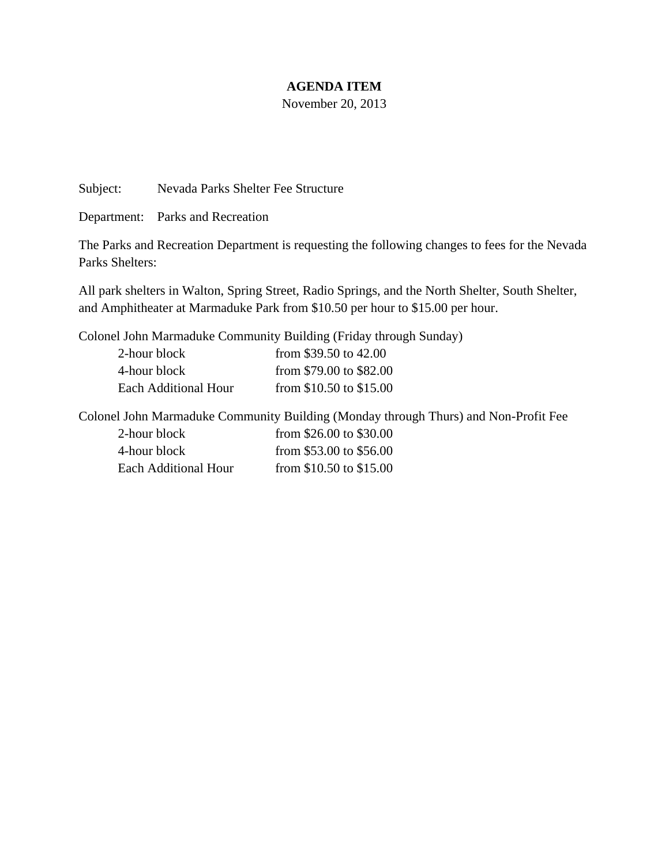## **AGENDA ITEM**

November 20, 2013

Subject: Nevada Parks Shelter Fee Structure

Department: Parks and Recreation

The Parks and Recreation Department is requesting the following changes to fees for the Nevada Parks Shelters:

All park shelters in Walton, Spring Street, Radio Springs, and the North Shelter, South Shelter, and Amphitheater at Marmaduke Park from \$10.50 per hour to \$15.00 per hour.

Colonel John Marmaduke Community Building (Friday through Sunday)

| 2-hour block         | from $$39.50$ to $42.00$ |
|----------------------|--------------------------|
| 4-hour block         | from \$79.00 to \$82.00  |
| Each Additional Hour | from \$10.50 to \$15.00  |

Colonel John Marmaduke Community Building (Monday through Thurs) and Non-Profit Fee

| 2-hour block         | from $$26.00$ to $$30.00$ |
|----------------------|---------------------------|
| 4-hour block         | from $$53.00$ to $$56.00$ |
| Each Additional Hour | from $$10.50$ to $$15.00$ |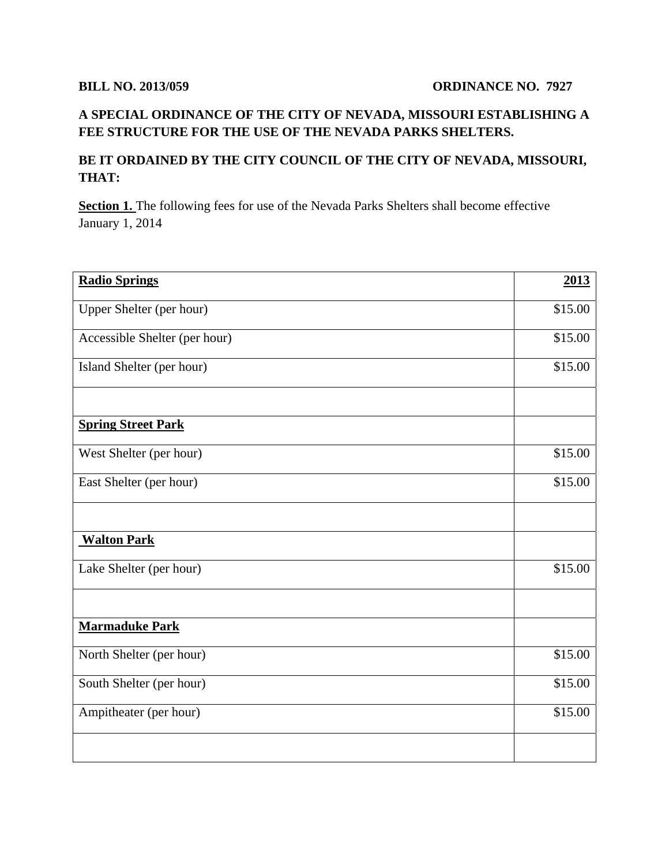## **A SPECIAL ORDINANCE OF THE CITY OF NEVADA, MISSOURI ESTABLISHING A FEE STRUCTURE FOR THE USE OF THE NEVADA PARKS SHELTERS.**

## **BE IT ORDAINED BY THE CITY COUNCIL OF THE CITY OF NEVADA, MISSOURI, THAT:**

**Section 1.** The following fees for use of the Nevada Parks Shelters shall become effective January 1, 2014

| <b>Radio Springs</b>          | 2013    |
|-------------------------------|---------|
| Upper Shelter (per hour)      | \$15.00 |
| Accessible Shelter (per hour) | \$15.00 |
| Island Shelter (per hour)     | \$15.00 |
|                               |         |
| <b>Spring Street Park</b>     |         |
| West Shelter (per hour)       | \$15.00 |
| East Shelter (per hour)       | \$15.00 |
|                               |         |
| <b>Walton Park</b>            |         |
| Lake Shelter (per hour)       | \$15.00 |
|                               |         |
| <b>Marmaduke Park</b>         |         |
| North Shelter (per hour)      | \$15.00 |
| South Shelter (per hour)      | \$15.00 |
| Ampitheater (per hour)        | \$15.00 |
|                               |         |
|                               |         |